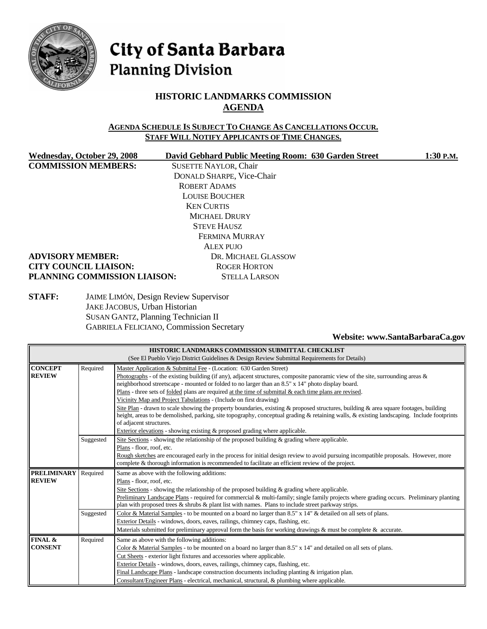

# City of Santa Barbara **Planning Division**

## **HISTORIC LANDMARKS COMMISSION AGENDA**

#### **AGENDA SCHEDULE IS SUBJECT TO CHANGE AS CANCELLATIONS OCCUR. STAFF WILL NOTIFY APPLICANTS OF TIME CHANGES.**

**COMMISSION MEMBERS:** SUSETTE NAYLOR, Chair

Wednesday, October 29, 2008 David Gebhard Public Meeting Room: 630 Garden Street 1:30 P.M. DONALD SHARPE, Vice-Chair ROBERT ADAMS LOUISE BOUCHER KEN CURTIS MICHAEL DRURY STEVE HAUSZ FERMINA MURRAY ALEX PUJO

#### **ADVISORY MEMBER:** DR. MICHAEL GLASSOW **CITY COUNCIL LIAISON:** ROGER HORTON **PLANNING COMMISSION LIAISON:** STELLA LARSON

**STAFF:** JAIME LIMÓN, Design Review Supervisor JAKE JACOBUS, Urban Historian SUSAN GANTZ, Planning Technician II GABRIELA FELICIANO, Commission Secretary

#### **Website: [www.SantaBarbaraCa.gov](http://www.santabarbaraca.gov/)**

| HISTORIC LANDMARKS COMMISSION SUBMITTAL CHECKLIST |                                                                                              |                                                                                                                                            |  |  |
|---------------------------------------------------|----------------------------------------------------------------------------------------------|--------------------------------------------------------------------------------------------------------------------------------------------|--|--|
|                                                   | (See El Pueblo Viejo District Guidelines & Design Review Submittal Requirements for Details) |                                                                                                                                            |  |  |
| <b>CONCEPT</b>                                    | Required                                                                                     | Master Application & Submittal Fee - (Location: 630 Garden Street)                                                                         |  |  |
| <b>REVIEW</b>                                     |                                                                                              | Photographs - of the existing building (if any), adjacent structures, composite panoramic view of the site, surrounding areas $\&$         |  |  |
|                                                   |                                                                                              | neighborhood streetscape - mounted or folded to no larger than an 8.5" x 14" photo display board.                                          |  |  |
|                                                   |                                                                                              | Plans - three sets of <u>folded</u> plans are required at the time of submittal $\&$ each time plans are revised.                          |  |  |
|                                                   |                                                                                              | Vicinity Map and Project Tabulations - (Include on first drawing)                                                                          |  |  |
|                                                   |                                                                                              | Site Plan - drawn to scale showing the property boundaries, existing & proposed structures, building & area square footages, building      |  |  |
|                                                   |                                                                                              | height, areas to be demolished, parking, site topography, conceptual grading & retaining walls, & existing landscaping. Include footprints |  |  |
|                                                   |                                                                                              | of adjacent structures.                                                                                                                    |  |  |
|                                                   |                                                                                              | Exterior elevations - showing existing & proposed grading where applicable.                                                                |  |  |
|                                                   | Suggested                                                                                    | Site Sections - showing the relationship of the proposed building $\&$ grading where applicable.                                           |  |  |
|                                                   |                                                                                              | Plans - floor, roof, etc.                                                                                                                  |  |  |
|                                                   |                                                                                              | Rough sketches are encouraged early in the process for initial design review to avoid pursuing incompatible proposals. However, more       |  |  |
|                                                   |                                                                                              | complete & thorough information is recommended to facilitate an efficient review of the project.                                           |  |  |
| <b>PRELIMINARY</b>                                | Required                                                                                     | Same as above with the following additions:                                                                                                |  |  |
| <b>REVIEW</b>                                     |                                                                                              | Plans - floor, roof, etc.                                                                                                                  |  |  |
|                                                   |                                                                                              | Site Sections - showing the relationship of the proposed building $\&$ grading where applicable.                                           |  |  |
|                                                   |                                                                                              | Preliminary Landscape Plans - required for commercial & multi-family; single family projects where grading occurs. Preliminary planting    |  |  |
|                                                   |                                                                                              | plan with proposed trees $\&$ shrubs $\&$ plant list with names. Plans to include street parkway strips.                                   |  |  |
|                                                   | Suggested                                                                                    | Color & Material Samples - to be mounted on a board no larger than 8.5" x 14" & detailed on all sets of plans.                             |  |  |
|                                                   |                                                                                              | Exterior Details - windows, doors, eaves, railings, chimney caps, flashing, etc.                                                           |  |  |
|                                                   |                                                                                              | Materials submitted for preliminary approval form the basis for working drawings & must be complete & accurate.                            |  |  |
| FINAL &                                           | Required                                                                                     | Same as above with the following additions:                                                                                                |  |  |
| <b>CONSENT</b>                                    |                                                                                              | Color & Material Samples - to be mounted on a board no larger than $8.5"$ x 14" and detailed on all sets of plans.                         |  |  |
|                                                   |                                                                                              | Cut Sheets - exterior light fixtures and accessories where applicable.                                                                     |  |  |
|                                                   |                                                                                              | Exterior Details - windows, doors, eaves, railings, chimney caps, flashing, etc.                                                           |  |  |
|                                                   |                                                                                              | Final Landscape Plans - landscape construction documents including planting $\&$ irrigation plan.                                          |  |  |
|                                                   |                                                                                              | Consultant/Engineer Plans - electrical, mechanical, structural, & plumbing where applicable.                                               |  |  |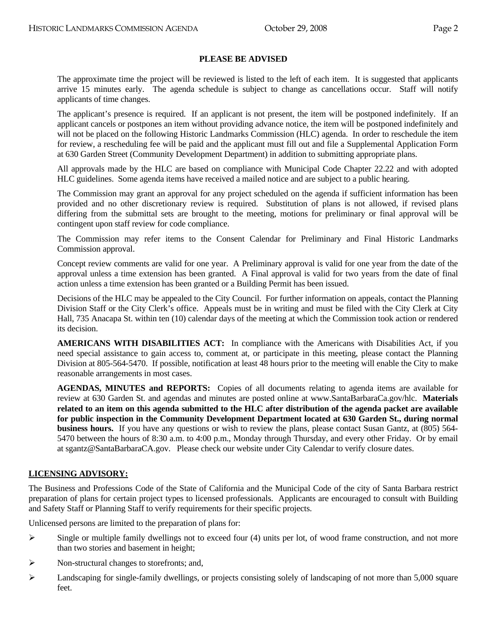#### **PLEASE BE ADVISED**

 The approximate time the project will be reviewed is listed to the left of each item. It is suggested that applicants arrive 15 minutes early. The agenda schedule is subject to change as cancellations occur. Staff will notify applicants of time changes.

 The applicant's presence is required. If an applicant is not present, the item will be postponed indefinitely. If an applicant cancels or postpones an item without providing advance notice, the item will be postponed indefinitely and will not be placed on the following Historic Landmarks Commission (HLC) agenda. In order to reschedule the item for review, a rescheduling fee will be paid and the applicant must fill out and file a Supplemental Application Form at 630 Garden Street (Community Development Department) in addition to submitting appropriate plans.

 All approvals made by the HLC are based on compliance with Municipal Code Chapter 22.22 and with adopted HLC guidelines. Some agenda items have received a mailed notice and are subject to a public hearing.

 The Commission may grant an approval for any project scheduled on the agenda if sufficient information has been provided and no other discretionary review is required. Substitution of plans is not allowed, if revised plans differing from the submittal sets are brought to the meeting, motions for preliminary or final approval will be contingent upon staff review for code compliance.

 The Commission may refer items to the Consent Calendar for Preliminary and Final Historic Landmarks Commission approval.

Concept review comments are valid for one year. A Preliminary approval is valid for one year from the date of the approval unless a time extension has been granted. A Final approval is valid for two years from the date of final action unless a time extension has been granted or a Building Permit has been issued.

Decisions of the HLC may be appealed to the City Council. For further information on appeals, contact the Planning Division Staff or the City Clerk's office. Appeals must be in writing and must be filed with the City Clerk at City Hall, 735 Anacapa St. within ten (10) calendar days of the meeting at which the Commission took action or rendered its decision.

 **AMERICANS WITH DISABILITIES ACT:** In compliance with the Americans with Disabilities Act, if you need special assistance to gain access to, comment at, or participate in this meeting, please contact the Planning Division at 805-564-5470. If possible, notification at least 48 hours prior to the meeting will enable the City to make reasonable arrangements in most cases.

 **AGENDAS, MINUTES and REPORTS:** Copies of all documents relating to agenda items are available for review at 630 Garden St. and agendas and minutes are posted online at [www.SantaBarbaraCa.gov/](http://www.santabarbaraca.gov/)hlc. **Materials related to an item on this agenda submitted to the HLC after distribution of the agenda packet are available for public inspection in the Community Development Department located at 630 Garden St., during normal business hours.** If you have any questions or wish to review the plans, please contact Susan Gantz, at (805) 564-5470 between the hours of 8:30 a.m. to 4:00 p.m., Monday through Thursday, and every other Friday. Or by email at [sgantz@SantaBarbaraCA.gov.](mailto:sgantz@SantaBarbaraCA.gov) Please check our website under City Calendar to verify closure dates.

#### **LICENSING ADVISORY:**

The Business and Professions Code of the State of California and the Municipal Code of the city of Santa Barbara restrict preparation of plans for certain project types to licensed professionals. Applicants are encouraged to consult with Building and Safety Staff or Planning Staff to verify requirements for their specific projects.

Unlicensed persons are limited to the preparation of plans for:

- $\triangleright$  Single or multiple family dwellings not to exceed four (4) units per lot, of wood frame construction, and not more than two stories and basement in height;
- ¾ Non-structural changes to storefronts; and,
- $\blacktriangleright$  Landscaping for single-family dwellings, or projects consisting solely of landscaping of not more than 5,000 square feet.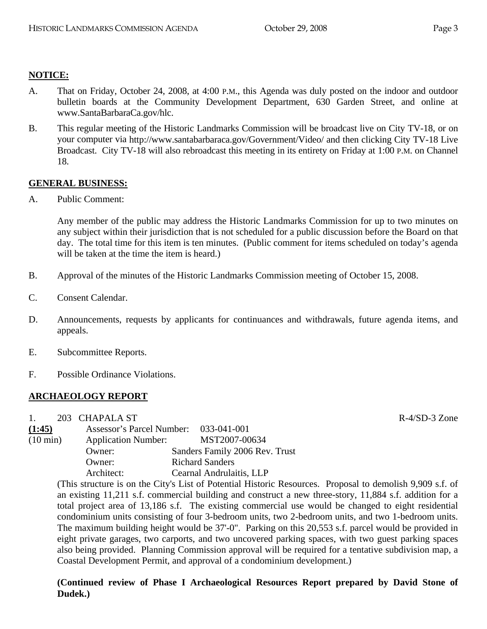## **NOTICE:**

- A. That on Friday, October 24, 2008, at 4:00 P.M., this Agenda was duly posted on the indoor and outdoor bulletin boards at the Community Development Department, 630 Garden Street, and online at www.SantaBarbaraCa.gov/hlc.
- B. This regular meeting of the Historic Landmarks Commission will be broadcast live on City TV-18, or on your computer via <http://www.santabarbaraca.gov/Government/Video/> and then clicking City TV-18 Live Broadcast. City TV-18 will also rebroadcast this meeting in its entirety on Friday at 1:00 P.M. on Channel 18.

## **GENERAL BUSINESS:**

A. Public Comment:

Any member of the public may address the Historic Landmarks Commission for up to two minutes on any subject within their jurisdiction that is not scheduled for a public discussion before the Board on that day. The total time for this item is ten minutes. (Public comment for items scheduled on today's agenda will be taken at the time the item is heard.)

- B. Approval of the minutes of the Historic Landmarks Commission meeting of October 15, 2008.
- C. Consent Calendar.
- D. Announcements, requests by applicants for continuances and withdrawals, future agenda items, and appeals.
- E. Subcommittee Reports.
- F. Possible Ordinance Violations.

## **ARCHAEOLOGY REPORT**

1. 203 CHAPALA ST R-4/SD-3 Zone

| $\mathbf{L}$       | ZUJ CHAPALA DI                        |                                |
|--------------------|---------------------------------------|--------------------------------|
| (1:45)             | Assessor's Parcel Number: 033-041-001 |                                |
| $(10 \text{ min})$ | <b>Application Number:</b>            | MST2007-00634                  |
|                    | Owner:                                | Sanders Family 2006 Rev. Trust |
|                    | Owner:                                | <b>Richard Sanders</b>         |
|                    | Architect:                            | Cearnal Andrulaitis, LLP       |

(This structure is on the City's List of Potential Historic Resources. Proposal to demolish 9,909 s.f. of an existing 11,211 s.f. commercial building and construct a new three-story, 11,884 s.f. addition for a total project area of 13,186 s.f. The existing commercial use would be changed to eight residential condominium units consisting of four 3-bedroom units, two 2-bedroom units, and two 1-bedroom units. The maximum building height would be 37'-0". Parking on this 20,553 s.f. parcel would be provided in eight private garages, two carports, and two uncovered parking spaces, with two guest parking spaces also being provided. Planning Commission approval will be required for a tentative subdivision map, a Coastal Development Permit, and approval of a condominium development.)

**(Continued review of Phase I Archaeological Resources Report prepared by David Stone of Dudek.)**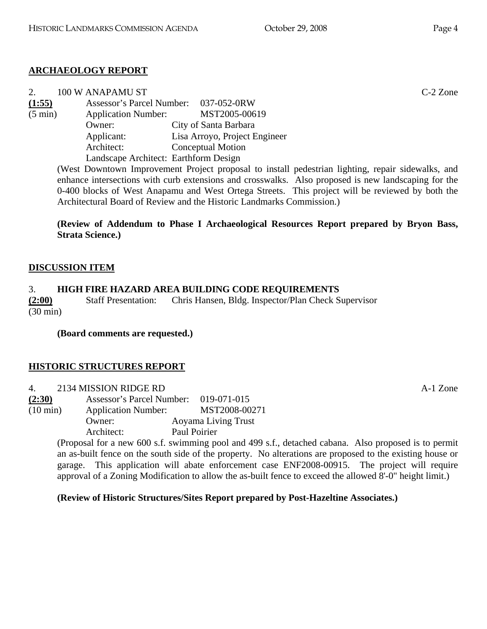## **ARCHAEOLOGY REPORT**

| 2.                | 100 W ANAPAMU ST                      |                                       | $C-2$ Zone |
|-------------------|---------------------------------------|---------------------------------------|------------|
| (1:55)            |                                       | Assessor's Parcel Number: 037-052-0RW |            |
| $(5 \text{ min})$ | <b>Application Number:</b>            | MST2005-00619                         |            |
|                   | Owner:                                | City of Santa Barbara                 |            |
|                   | Applicant:                            | Lisa Arroyo, Project Engineer         |            |
|                   | Architect:                            | <b>Conceptual Motion</b>              |            |
|                   | Landscape Architect: Earthform Design |                                       |            |

(West Downtown Improvement Project proposal to install pedestrian lighting, repair sidewalks, and enhance intersections with curb extensions and crosswalks. Also proposed is new landscaping for the 0-400 blocks of West Anapamu and West Ortega Streets. This project will be reviewed by both the Architectural Board of Review and the Historic Landmarks Commission.)

**(Review of Addendum to Phase I Archaeological Resources Report prepared by Bryon Bass, Strata Science.)** 

## **DISCUSSION ITEM**

## 3. **HIGH FIRE HAZARD AREA BUILDING CODE REQUIREMENTS**

**(2:00)** Staff Presentation: Chris Hansen, Bldg. Inspector/Plan Check Supervisor (30 min)

**(Board comments are requested.)** 

## **HISTORIC STRUCTURES REPORT**

4. 2134 MISSION RIDGE RD A-1 Zone

**(2:30)** Assessor's Parcel Number: 019-071-015 (10 min) Application Number: MST2008-00271 Owner: Aoyama Living Trust

Architect: Paul Poirier

(Proposal for a new 600 s.f. swimming pool and 499 s.f., detached cabana. Also proposed is to permit an as-built fence on the south side of the property. No alterations are proposed to the existing house or garage. This application will abate enforcement case ENF2008-00915. The project will require approval of a Zoning Modification to allow the as-built fence to exceed the allowed 8'-0" height limit.)

**(Review of Historic Structures/Sites Report prepared by Post-Hazeltine Associates.)**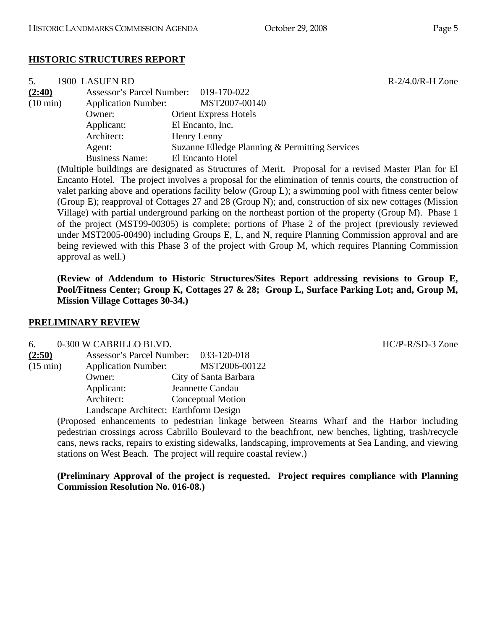#### **HISTORIC STRUCTURES REPORT**

| 5.                 | 1900 LASUEN RD                        |                                                |
|--------------------|---------------------------------------|------------------------------------------------|
| (2:40)             | Assessor's Parcel Number: 019-170-022 |                                                |
| $(10 \text{ min})$ | <b>Application Number:</b>            | MST2007-00140                                  |
|                    | Owner:                                | <b>Orient Express Hotels</b>                   |
|                    | Applicant:                            | El Encanto, Inc.                               |
|                    | Architect:                            | Henry Lenny                                    |
|                    | Agent:                                | Suzanne Elledge Planning & Permitting Services |
|                    | <b>Business Name:</b>                 | El Encanto Hotel                               |

(Multiple buildings are designated as Structures of Merit. Proposal for a revised Master Plan for El Encanto Hotel. The project involves a proposal for the elimination of tennis courts, the construction of valet parking above and operations facility below (Group L); a swimming pool with fitness center below (Group E); reapproval of Cottages 27 and 28 (Group N); and, construction of six new cottages (Mission Village) with partial underground parking on the northeast portion of the property (Group M). Phase 1 of the project (MST99-00305) is complete; portions of Phase 2 of the project (previously reviewed under MST2005-00490) including Groups E, L, and N, require Planning Commission approval and are being reviewed with this Phase 3 of the project with Group M, which requires Planning Commission approval as well.)

**(Review of Addendum to Historic Structures/Sites Report addressing revisions to Group E, Pool/Fitness Center; Group K, Cottages 27 & 28; Group L, Surface Parking Lot; and, Group M, Mission Village Cottages 30-34.)** 

#### **PRELIMINARY REVIEW**

#### 6. 0-300 W CABRILLO BLVD. HC/P-R/SD-3 Zone

| (2:50)             | Assessor's Parcel Number: 033-120-018 |                          |
|--------------------|---------------------------------------|--------------------------|
| $(15 \text{ min})$ | <b>Application Number:</b>            | MST2006-00122            |
|                    | Owner:                                | City of Santa Barbara    |
|                    | Applicant:                            | Jeannette Candau         |
|                    | Architect:                            | <b>Conceptual Motion</b> |
|                    | Landscape Architect: Earthform Design |                          |
|                    |                                       |                          |

(Proposed enhancements to pedestrian linkage between Stearns Wharf and the Harbor including pedestrian crossings across Cabrillo Boulevard to the beachfront, new benches, lighting, trash/recycle cans, news racks, repairs to existing sidewalks, landscaping, improvements at Sea Landing, and viewing stations on West Beach. The project will require coastal review.)

**(Preliminary Approval of the project is requested. Project requires compliance with Planning Commission Resolution No. 016-08.)** 

 $R-2/4.0/R-H$  Zone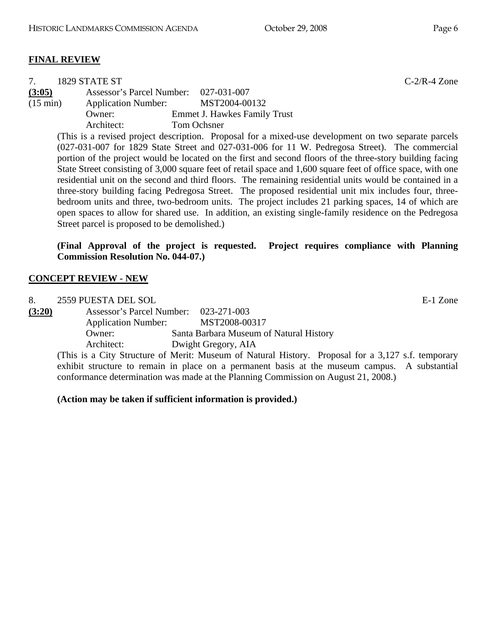|                                                                                                           | 1829 STATE ST                    | $C-2/R-4$ Zone                                                                                               |  |
|-----------------------------------------------------------------------------------------------------------|----------------------------------|--------------------------------------------------------------------------------------------------------------|--|
| (3:05)                                                                                                    | <b>Assessor's Parcel Number:</b> | 027-031-007                                                                                                  |  |
| $(15 \text{ min})$                                                                                        | <b>Application Number:</b>       | MST2004-00132                                                                                                |  |
|                                                                                                           | Owner:                           | <b>Emmet J. Hawkes Family Trust</b>                                                                          |  |
|                                                                                                           | Architect:                       | Tom Ochsner                                                                                                  |  |
|                                                                                                           |                                  | (This is a revised project description. Proposal for a mixed-use development on two separate parcels         |  |
|                                                                                                           |                                  | $(027-031-007)$ for 1829 State Street and 027-031-006 for 11 W. Pedregosa Street). The commercial            |  |
| portion of the project would be located on the first and second floors of the three-story building facing |                                  |                                                                                                              |  |
|                                                                                                           |                                  | State Street consisting of 3,000 square feet of retail space and 1,600 square feet of office space, with one |  |
|                                                                                                           |                                  | residential unit on the second and third floors. The remaining residential units would be contained in a     |  |
|                                                                                                           |                                  | three-story building facing Pedregosa Street. The proposed residential unit mix includes four, three-        |  |
|                                                                                                           |                                  | bedroom units and three, two-bedroom units. The project includes 21 parking spaces, 14 of which are          |  |

**(Final Approval of the project is requested. Project requires compliance with Planning Commission Resolution No. 044-07.)** 

open spaces to allow for shared use. In addition, an existing single-family residence on the Pedregosa

## **CONCEPT REVIEW - NEW**

Street parcel is proposed to be demolished.)

| 8.     | 2559 PUESTA DEL SOL                   |                                                                                                    | E-1 Zone |
|--------|---------------------------------------|----------------------------------------------------------------------------------------------------|----------|
| (3:20) | Assessor's Parcel Number: 023-271-003 |                                                                                                    |          |
|        | <b>Application Number:</b>            | MST2008-00317                                                                                      |          |
|        | Owner:                                | Santa Barbara Museum of Natural History                                                            |          |
|        | Architect:                            | Dwight Gregory, AIA                                                                                |          |
|        |                                       | (This is a City Structure of Merit: Museum of Natural History. Proposal for a 3,127 s.f. temporary |          |

exhibit structure to remain in place on a permanent basis at the museum campus. A substantial conformance determination was made at the Planning Commission on August 21, 2008.)

**(Action may be taken if sufficient information is provided.)**